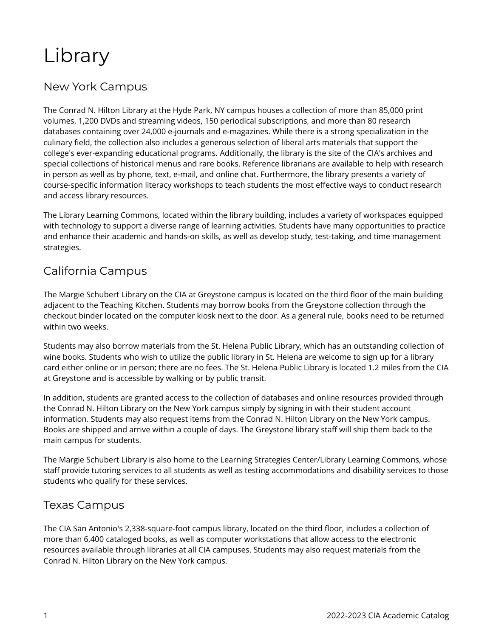# Library

### New York Campus

The Conrad N. Hilton Library at the Hyde Park, NY campus houses a collection of more than 85,000 print volumes, 1,200 DVDs and streaming videos, 150 periodical subscriptions, and more than 80 research databases containing over 24,000 e-journals and e-magazines. While there is a strong specialization in the culinary field, the collection also includes a generous selection of liberal arts materials that support the college's ever-expanding educational programs. Additionally, the library is the site of the CIA's archives and special collections of historical menus and rare books. Reference librarians are available to help with research in person as well as by phone, text, e-mail, and online chat. Furthermore, the library presents a variety of course-specific information literacy workshops to teach students the most effective ways to conduct research and access library resources.

The Library Learning Commons, located within the library building, includes a variety of workspaces equipped with technology to support a diverse range of learning activities. Students have many opportunities to practice and enhance their academic and hands-on skills, as well as develop study, test-taking, and time management strategies.

#### California Campus

The Margie Schubert Library on the CIA at Greystone campus is located on the third floor of the main building adjacent to the Teaching Kitchen. Students may borrow books from the Greystone collection through the checkout binder located on the computer kiosk next to the door. As a general rule, books need to be returned within two weeks.

Students may also borrow materials from the St. Helena Public Library, which has an outstanding collection of wine books. Students who wish to utilize the public library in St. Helena are welcome to sign up for a library card either online or in person; there are no fees. The St. Helena Public Library is located 1.2 miles from the CIA at Greystone and is accessible by walking or by public transit.

In addition, students are granted access to the collection of databases and online resources provided through the Conrad N. Hilton Library on the New York campus simply by signing in with their student account information. Students may also request items from the Conrad N. Hilton Library on the New York campus. Books are shipped and arrive within a couple of days. The Greystone library staff will ship them back to the main campus for students.

The Margie Schubert Library is also home to the Learning Strategies Center/Library Learning Commons, whose staff provide tutoring services to all students as well as testing accommodations and disability services to those students who qualify for these services.

#### Texas Campus

The CIA San Antonio's 2,338-square-foot campus library, located on the third floor, includes a collection of more than 6,400 cataloged books, as well as computer workstations that allow access to the electronic resources available through libraries at all CIA campuses. Students may also request materials from the Conrad N. Hilton Library on the New York campus.